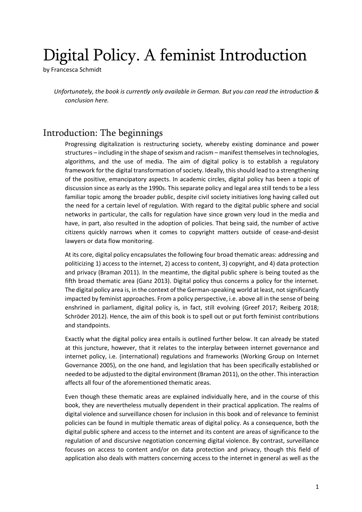## Digital Policy. A feminist Introduction

by Francesca Schmidt

*Unfortunately, the book is currently only available in German. But you can read the introduction & conclusion here.*

## Introduction: The beginnings

Progressing digitalization is restructuring society, whereby existing dominance and power structures – including in the shape of sexism and racism – manifest themselves in technologies, algorithms, and the use of media. The aim of digital policy is to establish a regulatory framework forthe digital transformation ofsociety. Ideally, thisshould lead to a strengthening of the positive, emancipatory aspects. In academic circles, digital policy has been a topic of discussion since as early as the 1990s. This separate policy and legal area still tends to be a less familiar topic among the broader public, despite civil society initiatives long having called out the need for a certain level of regulation. With regard to the digital public sphere and social networks in particular, the calls for regulation have since grown very loud in the media and have, in part, also resulted in the adoption of policies. That being said, the number of active citizens quickly narrows when it comes to copyright matters outside of cease-and-desist lawyers or data flow monitoring.

At its core, digital policy encapsulates the following four broad thematic areas: addressing and politicizing 1) access to the internet, 2) access to content, 3) copyright, and 4) data protection and privacy (Braman 2011). In the meantime, the digital public sphere is being touted as the fifth broad thematic area (Ganz 2013). Digital policy thus concerns a policy for the internet. The digital policy area is, in the context of the German-speaking world at least, notsignificantly impacted by feminist approaches. From a policy perspective, i.e. above all in the sense of being enshrined in parliament, digital policy is, in fact, still evolving (Greef 2017; Reiberg 2018; Schröder 2012). Hence, the aim of this book is to spell out or put forth feminist contributions and standpoints.

Exactly what the digital policy area entails is outlined further below. It can already be stated at this juncture, however, that it relates to the interplay between internet governance and internet policy, i.e. (international) regulations and frameworks (Working Group on Internet Governance 2005), on the one hand, and legislation that has been specifically established or needed to be adjusted to the digital environment (Braman 2011), on the other. Thisinteraction affects all four of the aforementioned thematic areas.

Even though these thematic areas are explained individually here, and in the course of this book, they are nevertheless mutually dependent in their practical application. The realms of digital violence and surveillance chosen for inclusion in this book and of relevance to feminist policies can be found in multiple thematic areas of digital policy. As a consequence, both the digital public sphere and access to the internet and its content are areas of significance to the regulation of and discursive negotiation concerning digital violence. By contrast, surveillance focuses on access to content and/or on data protection and privacy, though this field of application also deals with matters concerning access to the internet in general as well as the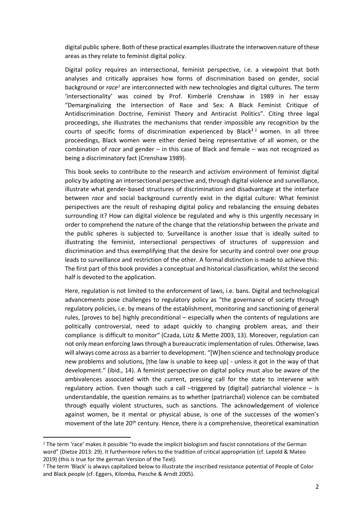digital public sphere. Both of these practical examples illustrate the interwoven nature of these areas as they relate to feminist digital policy.

Digital policy requires an intersectional, feminist perspective, i.e. a viewpoint that both analyses and critically appraises how forms of discrimination based on gender, social background or *race<sup>1</sup>* are interconnected with new technologies and digital cultures. The term 'intersectionality' was coined by Prof. Kimberlé Crenshaw in 1989 in her essay "Demarginalizing the Intersection of Race and Sex: A Black Feminist Critique of Antidiscrimination Doctrine, Feminist Theory and Antiracist Politics". Citing three legal proceedings, she illustrates the mechanisms that render impossible any recognition by the courts of specific forms of discrimination experienced by Black<sup>22</sup> women. In all three proceedings, Black women were either denied being representative of all women, or the combination of *race* and gender – in this case of Black and female – was not recognized as being a discriminatory fact (Crenshaw 1989).

This book seeks to contribute to the research and activism environment of feminist digital policy by adopting an intersectional perspective and, through digital violence and surveillance, illustrate what gender-based structures of discrimination and disadvantage at the interface between *race* and social background currently exist in the digital culture: What feminist perspectives are the result of reshaping digital policy and rebalancing the ensuing debates surrounding it? How can digital violence be regulated and why is this urgently necessary in order to comprehend the nature of the change that the relationship between the private and the public spheres is subjected to. Surveillance is another issue that is ideally suited to illustrating the feminist, intersectional perspectives of structures of suppression and discrimination and thus exemplifying that the desire for security and control over one group leads to surveillance and restriction of the other. A formal distinction is made to achieve this: The first part of this book provides a conceptual and historical classification, whilst the second half is devoted to the application.

Here, regulation is not limited to the enforcement of laws, i.e. bans. Digital and technological advancements pose challenges to regulatory policy as "the governance of society through regulatory policies, i.e. by means of the establishment, monitoring and sanctioning of general rules, [proves to be] highly preconditional – especially when the contents of regulations are politically controversial, need to adapt quickly to changing problem areas, and their compliance is difficult to monitor" (Czada, Lütz & Mette 2003, 13). Moreover, regulation can not only mean enforcing lawsthrough a bureaucratic implementation ofrules. Otherwise, laws will always come across as a barrier to development. "[W]hen science and technology produce new problems and solutions, [the law is unable to keep up] - unless it got in the way of that development." (ibid., 14). A feminist perspective on digital policy must also be aware of the ambivalences associated with the current, pressing call for the state to intervene with regulatory action. Even though such a call –triggered by (digital) patriarchal violence – is understandable, the question remains as to whether (patriarchal) violence can be combated through equally violent structures, such as sanctions. The acknowledgement of violence against women, be it mental or physical abuse, is one of the successes of the women's movement of the late 20<sup>th</sup> century. Hence, there is a comprehensive, theoretical examination

<sup>&</sup>lt;sup>1</sup> The term 'race' makes it possible "to evade the implicit biologism and fascist connotations of the German word" (Dietze 2013: 29). It furthermore refers to the tradition of critical appropriation (cf. Lepold & Mateo 2019) (this is true for the german Version of the Text).

<sup>&</sup>lt;sup>2</sup> The term 'Black' is always capitalized below to illustrate the inscribed resistance potential of People of Color and Black people (cf. Eggers, Kilomba, Piesche & Arndt 2005).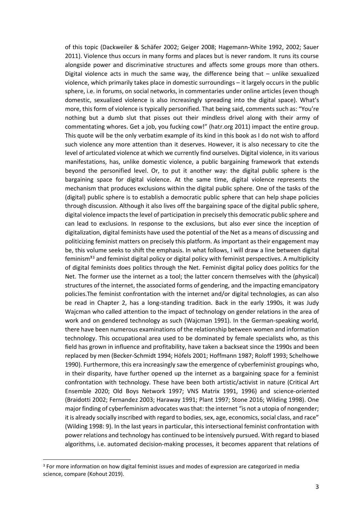of this topic (Dackweiler & Schäfer 2002; Geiger 2008; Hagemann-White 1992, 2002; Sauer 2011). Violence thus occurs in many forms and places but is never random. It runs its course alongside power and discriminative structures and affects some groups more than others. Digital violence acts in much the same way, the difference being that – unlike sexualized violence, which primarily takes place in domestic surroundings – it largely occurs in the public sphere, i.e. in forums, on social networks, in commentaries under online articles (even though domestic, sexualized violence is also increasingly spreading into the digital space). What's more, this form of violence is typically personified. That being said, comments such as: "You're nothing but a dumb slut that pisses out their mindless drivel along with their army of commentating whores. Get a job, you fucking cow!" (hatr.org 2011) impact the entire group. This quote will be the only verbatim example of its kind in this book as I do not wish to afford such violence any more attention than it deserves. However, it is also necessary to cite the level of articulated violence at which we currently find ourselves. Digital violence, in its various manifestations, has, unlike domestic violence, a public bargaining framework that extends beyond the personified level. Or, to put it another way: the digital public sphere is the bargaining space for digital violence. At the same time, digital violence represents the mechanism that produces exclusions within the digital public sphere. One of the tasks of the (digital) public sphere is to establish a democratic public sphere that can help shape policies through discussion. Although it also lives off the bargaining space of the digital public sphere, digital violence impacts the level of participation in precisely this democratic public sphere and can lead to exclusions. In response to the exclusions, but also ever since the inception of digitalization, digital feminists have used the potential of the Net as a means of discussing and politicizing feminist matters on precisely this platform. As important as their engagement may be, this volume seeks to shift the emphasis. In what follows, I will draw a line between digital feminism<sup>33</sup> and feminist digital policy or digital policy with feminist perspectives. A multiplicity of digital feminists does politics through the Net. Feminist digital policy does politics for the Net. The former use the internet as a tool; the latter concern themselves with the (physical) structures of the internet, the associated forms of gendering, and the impacting emancipatory policies.The feminist confrontation with the internet and/or digital technologies, as can also be read in Chapter 2, has a long-standing tradition. Back in the early 1990s, it was Judy Wajcman who called attention to the impact of technology on gender relations in the area of work and on gendered technology as such (Wajcman 1991). In the German-speaking world, there have been numerous examinations of the relationship between women and information technology. This occupational area used to be dominated by female specialists who, as this field has grown in influence and profitability, have taken a backseat since the 1990s and been replaced by men (Becker-Schmidt 1994; Höfels 2001; Hoffmann 1987; Roloff 1993; Schelhowe 1990). Furthermore, this era increasingly saw the emergence of cyberfeminist groupings who, in their disparity, have further opened up the internet as a bargaining space for a feminist confrontation with technology. These have been both artistic/activist in nature (Critical Art Ensemble 2020; Old Boys Network 1997; VNS Matrix 1991, 1996) and science-oriented (Braidotti 2002; Fernandez 2003; Haraway 1991; Plant 1997; Stone 2016; Wilding 1998). One major finding of cyberfeminism advocates wasthat: the internet "is not a utopia of nongender; it is already socially inscribed with regard to bodies, sex, age, economics, social class, and race" (Wilding 1998: 9). In the last years in particular, this intersectional feminist confrontation with power relations and technology has continued to be intensively pursued. With regard to biased algorithms, i.e. automated decision-making processes, it becomes apparent that relations of

<sup>&</sup>lt;sup>3</sup> For more information on how digital feminist issues and modes of expression are categorized in media science, compare (Kohout 2019).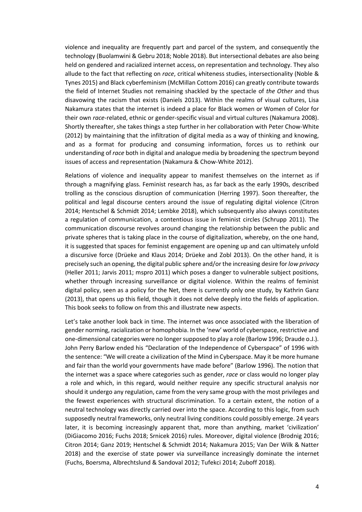violence and inequality are frequently part and parcel of the system, and consequently the technology (Buolamwini & Gebru 2018; Noble 2018). But intersectional debates are also being held on gendered and racialized internet access, on representation and technology. They also allude to the fact that reflecting on *race*, critical whiteness studies, intersectionality (Noble & Tynes 2015) and Black cyberfeminism (McMillan Cottom 2016) can greatly contribute towards the field of Internet Studies not remaining shackled by the spectacle of *the Other* and thus disavowing the racism that exists (Daniels 2013). Within the realms of visual cultures, Lisa Nakamura states that the internet is indeed a place for Black women or Women of Color for their own *race*-related, ethnic or gender-specific visual and virtual cultures (Nakamura 2008). Shortly thereafter, she takes things a step further in her collaboration with Peter Chow-White (2012) by maintaining that the infiltration of digital media as a way of thinking and knowing, and as a format for producing and consuming information, forces us to rethink our understanding of *race* both in digital and analogue media by broadening the spectrum beyond issues of access and representation (Nakamura & Chow-White 2012).

Relations of violence and inequality appear to manifest themselves on the internet as if through a magnifying glass. Feminist research has, as far back as the early 1990s, described trolling as the conscious disruption of communication (Herring 1997). Soon thereafter, the political and legal discourse centers around the issue of regulating digital violence (Citron 2014; Hentschel & Schmidt 2014; Lembke 2018), which subsequently also always constitutes a regulation of communication, a contentious issue in feminist circles (Schrupp 2011). The communication discourse revolves around changing the relationship between the public and private spheres that is taking place in the course of digitalization, whereby, on the one hand, it is suggested that spaces for feminist engagement are opening up and can ultimately unfold a discursive force (Drüeke and Klaus 2014; Drüeke and Zobl 2013). On the other hand, it is precisely such an opening, the digital public sphere and/orthe increasing desire for*low privacy* (Heller 2011; Jarvis 2011; mspro 2011) which poses a danger to vulnerable subject positions, whether through increasing surveillance or digital violence. Within the realms of feminist digital policy, seen as a policy for the Net, there is currently only one study, by Kathrin Ganz (2013), that opens up this field, though it does not delve deeply into the fields of application. This book seeks to follow on from this and illustrate new aspects.

Let's take another look back in time. The internet was once associated with the liberation of gender norming, racialization or homophobia. In the 'new' world of cyberspace, restrictive and one-dimensional categories were no longersupposed to play a role (Barlow 1996; Draude o.J.). John Perry Barlow ended his "Declaration of the Independence of Cyberspace" of 1996 with the sentence: "We will create a civilization of the Mind in Cyberspace. May it be more humane and fair than the world your governments have made before" (Barlow 1996). The notion that the internet was a space where categories such as gender, *race* or class would no longer play a role and which, in this regard, would neither require any specific structural analysis nor should it undergo any regulation, came from the very same group with the most privileges and the fewest experiences with structural discrimination. To a certain extent, the notion of a neutral technology was directly carried over into the space. According to this logic, from such supposedly neutral frameworks, only neutral living conditions could possibly emerge. 24 years later, it is becoming increasingly apparent that, more than anything, market 'civilization' (DiGiacomo 2016; Fuchs 2018; Srnicek 2016) rules. Moreover, digital violence (Brodnig 2016; Citron 2014; Ganz 2019; Hentschel & Schmidt 2014; Nakamura 2015; Van Der Wilk & Natter 2018) and the exercise of state power via surveillance increasingly dominate the internet (Fuchs, Boersma, Albrechtslund & Sandoval 2012; Tufekci 2014; Zuboff 2018).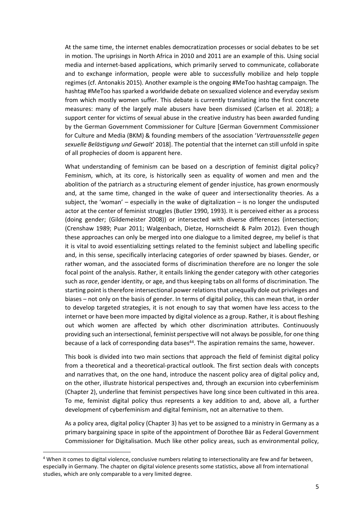At the same time, the internet enables democratization processes or social debates to be set in motion. The uprisings in North Africa in 2010 and 2011 are an example of this. Using social media and internet-based applications, which primarily served to communicate, collaborate and to exchange information, people were able to successfully mobilize and help topple regimes (cf. Antonakis 2015). Another example is the ongoing #MeToo hashtag campaign. The hashtag #MeToo has sparked a worldwide debate on sexualized violence and everyday sexism from which mostly women suffer. This debate is currently translating into the first concrete measures: many of the largely male abusers have been dismissed (Carlsen et al. 2018); a support center for victims of sexual abuse in the creative industry has been awarded funding by the German Government Commissioner for Culture [German Government Commissioner for Culture and Media (BKM) & founding members of the association '*Vertrauensstelle gegen sexuelle Belästigung und Gewalt*' 2018]. The potential that the internet can still unfold in spite of all prophecies of doom is apparent here.

What understanding of feminism can be based on a description of feminist digital policy? Feminism, which, at its core, is historically seen as equality of women and men and the abolition of the patriarch as a structuring element of gender injustice, has grown enormously and, at the same time, changed in the wake of queer and intersectionality theories. As a subject, the 'woman' – especially in the wake of digitalization – is no longer the undisputed actor at the center of feminist struggles (Butler 1990, 1993). It is perceived either as a process (doing gender; (Gildemeister 2008)) or intersected with diverse differences (intersection; (Crenshaw 1989; Puar 2011; Walgenbach, Dietze, Hornscheidt & Palm 2012). Even though these approaches can only be merged into one dialogue to a limited degree, my belief is that it is vital to avoid essentializing settings related to the feminist subject and labelling specific and, in this sense, specifically interlacing categories of order spawned by biases. Gender, or rather woman, and the associated forms of discrimination therefore are no longer the sole focal point of the analysis. Rather, it entails linking the gender category with other categories such as *race*, gender identity, or age, and thus keeping tabs on all forms of discrimination. The starting point istherefore intersectional power relationsthat unequally dole out privileges and biases – not only on the basis of gender. In terms of digital policy, this can mean that, in order to develop targeted strategies, it is not enough to say that women have less access to the internet or have been more impacted by digital violence as a group. Rather, it is about fleshing out which women are affected by which other discrimination attributes. Continuously providing such an intersectional, feminist perspective will not always be possible, for one thing because of a lack of corresponding data bases<sup>44</sup>. The aspiration remains the same, however.

This book is divided into two main sections that approach the field of feminist digital policy from a theoretical and a theoretical-practical outlook. The first section deals with concepts and narratives that, on the one hand, introduce the nascent policy area of digital policy and, on the other, illustrate historical perspectives and, through an excursion into cyberfeminism (Chapter 2), underline that feminist perspectives have long since been cultivated in this area. To me, feminist digital policy thus represents a key addition to and, above all, a further development of cyberfeminism and digital feminism, not an alternative to them.

As a policy area, digital policy (Chapter 3) has yet to be assigned to a ministry in Germany as a primary bargaining space in spite of the appointment of Dorothee Bär as Federal Government Commissioner for Digitalisation. Much like other policy areas, such as environmental policy,

<sup>4</sup> When it comes to digital violence, conclusive numbers relating to intersectionality are few and far between, especially in Germany. The chapter on digital violence presents some statistics, above all from international studies, which are only comparable to a very limited degree.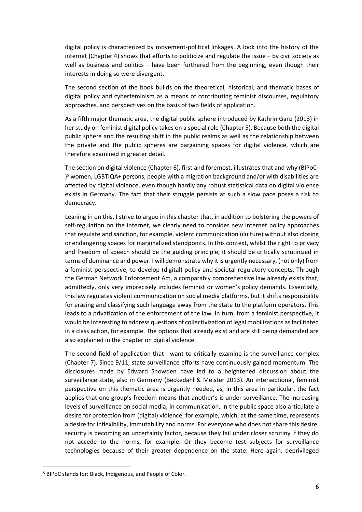digital policy is characterized by movement-political linkages. A look into the history of the internet (Chapter 4) shows that efforts to politicize and regulate the issue – by civil society as well as business and politics – have been furthered from the beginning, even though their interests in doing so were divergent.

The second section of the book builds on the theoretical, historical, and thematic bases of digital policy and cyberfeminism as a means of contributing feminist discourses, regulatory approaches, and perspectives on the basis of two fields of application.

As a fifth major thematic area, the digital public sphere introduced by Kathrin Ganz (2013) in her study on feminist digital policy takes on a special role (Chapter 5). Because both the digital public sphere and the resulting shift in the public realms as well as the relationship between the private and the public spheres are bargaining spaces for digital violence, which are therefore examined in greater detail.

The section on digital violence (Chapter 6), first and foremost, illustrates that and why (BIPoC- ) <sup>5</sup> women, LGBTIQA+ persons, people with a migration background and/or with disabilities are affected by digital violence, even though hardly any robust statistical data on digital violence exists in Germany. The fact that their struggle persists at such a slow pace poses a risk to democracy.

Leaning in on this, I strive to argue in this chapter that, in addition to bolstering the powers of self-regulation on the internet, we clearly need to consider new internet policy approaches that regulate and sanction, for example, violent communication (culture) without also closing or endangering spaces for marginalized standpoints. In this context, whilst the right to privacy and freedom of speech should be the guiding principle, it should be critically scrutinized in terms of dominance and power. I will demonstrate why it is urgently necessary, (not only) from a feminist perspective, to develop (digital) policy and societal regulatory concepts. Through the German Network Enforcement Act, a comparably comprehensive law already exists that, admittedly, only very imprecisely includes feminist or women's policy demands. Essentially, this law regulates violent communication on social media platforms, but it shifts responsibility for erasing and classifying such language away from the state to the platform operators. This leads to a privatization of the enforcement of the law. In turn, from a feminist perspective, it would be interesting to address questions of collectivization of legal mobilizations as facilitated in a class action, for example. The options that already exist and are still being demanded are also explained in the chapter on digital violence.

The second field of application that I want to critically examine is the surveillance complex (Chapter 7). Since 9/11, state surveillance efforts have continuously gained momentum. The disclosures made by Edward Snowden have led to a heightened discussion about the surveillance state, also in Germany (Beckedahl & Meister 2013). An intersectional, feminist perspective on this thematic area is urgently needed, as, in this area in particular, the fact applies that one group's freedom means that another's is under surveillance. The increasing levels of surveillance on social media, in communication, in the public space also articulate a desire for protection from (digital) violence, for example, which, at the same time, represents a desire for inflexibility, immutability and norms. For everyone who does not share this desire, security is becoming an uncertainty factor, because they fail under closer scrutiny if they do not accede to the norms, for example. Or they become test subjects for surveillance technologies because of their greater dependence on the state. Here again, deprivileged

<sup>5</sup> BIPoC stands for: Black, Indigenous, and People of Color.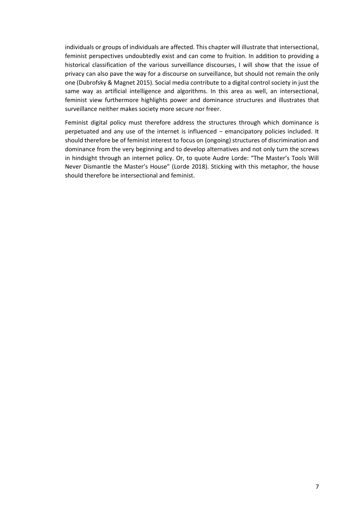individuals or groups of individuals are affected. This chapter will illustrate that intersectional, feminist perspectives undoubtedly exist and can come to fruition. In addition to providing a historical classification of the various surveillance discourses, I will show that the issue of privacy can also pave the way for a discourse on surveillance, but should not remain the only one (Dubrofsky & Magnet 2015). Social media contribute to a digital control society in just the same way as artificial intelligence and algorithms. In this area as well, an intersectional, feminist view furthermore highlights power and dominance structures and illustrates that surveillance neither makes society more secure nor freer.

Feminist digital policy must therefore address the structures through which dominance is perpetuated and any use of the internet is influenced – emancipatory policies included. It should therefore be of feminist interest to focus on (ongoing) structures of discrimination and dominance from the very beginning and to develop alternatives and not only turn the screws in hindsight through an internet policy. Or, to quote Audre Lorde: "The Master's Tools Will Never Dismantle the Master's House" (Lorde 2018). Sticking with this metaphor, the house should therefore be intersectional and feminist.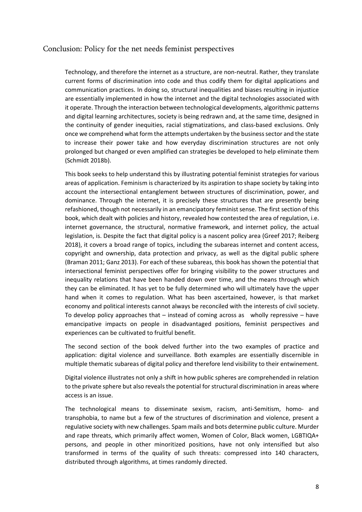## Conclusion: Policy for the net needs feminist perspectives

Technology, and therefore the internet as a structure, are non-neutral. Rather, they translate current forms of discrimination into code and thus codify them for digital applications and communication practices. In doing so, structural inequalities and biases resulting in injustice are essentially implemented in how the internet and the digital technologies associated with it operate. Through the interaction between technological developments, algorithmic patterns and digital learning architectures, society is being redrawn and, at the same time, designed in the continuity of gender inequities, racial stigmatizations, and class-based exclusions. Only once we comprehend what form the attempts undertaken by the businesssector and the state to increase their power take and how everyday discrimination structures are not only prolonged but changed or even amplified can strategies be developed to help eliminate them (Schmidt 2018b).

This book seeks to help understand this by illustrating potential feminist strategies for various areas of application. Feminism is characterized by its aspiration to shape society by taking into account the intersectional entanglement between structures of discrimination, power, and dominance. Through the internet, it is precisely these structures that are presently being refashioned, though not necessarily in an emancipatory feminist sense. The first section of this book, which dealt with policies and history, revealed how contested the area of regulation, i.e. internet governance, the structural, normative framework, and internet policy, the actual legislation, is. Despite the fact that digital policy is a nascent policy area (Greef 2017; Reiberg 2018), it covers a broad range of topics, including the subareas internet and content access, copyright and ownership, data protection and privacy, as well as the digital public sphere (Braman 2011; Ganz 2013). For each of these subareas, this book has shown the potential that intersectional feminist perspectives offer for bringing visibility to the power structures and inequality relations that have been handed down over time, and the means through which they can be eliminated. It has yet to be fully determined who will ultimately have the upper hand when it comes to regulation. What has been ascertained, however, is that market economy and political interests cannot always be reconciled with the interests of civil society. To develop policy approaches that  $-$  instead of coming across as wholly repressive  $-$  have emancipative impacts on people in disadvantaged positions, feminist perspectives and experiences can be cultivated to fruitful benefit.

The second section of the book delved further into the two examples of practice and application: digital violence and surveillance. Both examples are essentially discernible in multiple thematic subareas of digital policy and therefore lend visibility to their entwinement.

Digital violence illustrates not only a shift in how public spheres are comprehended in relation to the private sphere but also reveals the potential for structural discrimination in areas where access is an issue.

The technological means to disseminate sexism, racism, anti-Semitism, homo- and transphobia, to name but a few of the structures of discrimination and violence, present a regulative society with new challenges. Spam mails and bots determine public culture. Murder and rape threats, which primarily affect women, Women of Color, Black women, LGBTIQA+ persons, and people in other minoritized positions, have not only intensified but also transformed in terms of the quality of such threats: compressed into 140 characters, distributed through algorithms, at times randomly directed.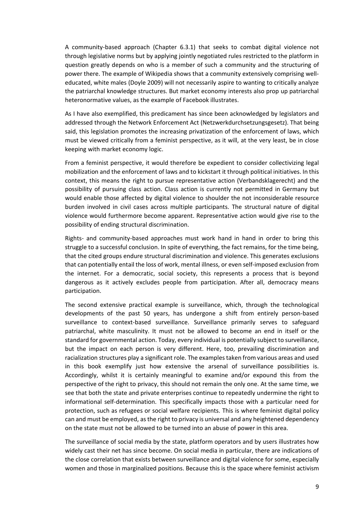A community-based approach (Chapter 6.3.1) that seeks to combat digital violence not through legislative norms but by applying jointly negotiated rules restricted to the platform in question greatly depends on who is a member of such a community and the structuring of power there. The example of Wikipedia shows that a community extensively comprising welleducated, white males (Doyle 2009) will not necessarily aspire to wanting to critically analyze the patriarchal knowledge structures. But market economy interests also prop up patriarchal heteronormative values, as the example of Facebook illustrates.

As I have also exemplified, this predicament has since been acknowledged by legislators and addressed through the Network Enforcement Act (Netzwerkdurchsetzungsgesetz). That being said, this legislation promotes the increasing privatization of the enforcement of laws, which must be viewed critically from a feminist perspective, as it will, at the very least, be in close keeping with market economy logic.

From a feminist perspective, it would therefore be expedient to consider collectivizing legal mobilization and the enforcement of laws and to kickstart it through political initiatives. In this context, this means the right to pursue representative action (Verbandsklagerecht) and the possibility of pursuing class action. Class action is currently not permitted in Germany but would enable those affected by digital violence to shoulder the not inconsiderable resource burden involved in civil cases across multiple participants. The structural nature of digital violence would furthermore become apparent. Representative action would give rise to the possibility of ending structural discrimination.

Rights- and community-based approaches must work hand in hand in order to bring this struggle to a successful conclusion. In spite of everything, the fact remains, for the time being, that the cited groups endure structural discrimination and violence. This generates exclusions that can potentially entail the loss of work, mental illness, or even self-imposed exclusion from the internet. For a democratic, social society, this represents a process that is beyond dangerous as it actively excludes people from participation. After all, democracy means participation.

The second extensive practical example is surveillance, which, through the technological developments of the past 50 years, has undergone a shift from entirely person-based surveillance to context-based surveillance. Surveillance primarily serves to safeguard patriarchal, white masculinity. It must not be allowed to become an end in itself or the standard for governmental action. Today, every individual is potentially subject to surveillance, but the impact on each person is very different. Here, too, prevailing discrimination and racialization structures play a significant role. The examplestaken from various areas and used in this book exemplify just how extensive the arsenal of surveillance possibilities is. Accordingly, whilst it is certainly meaningful to examine and/or expound this from the perspective of the right to privacy, this should not remain the only one. At the same time, we see that both the state and private enterprises continue to repeatedly undermine the right to informational self-determination. This specifically impacts those with a particular need for protection, such as refugees or social welfare recipients. This is where feminist digital policy can and must be employed, asthe right to privacy is universal and any heightened dependency on the state must not be allowed to be turned into an abuse of power in this area.

The surveillance of social media by the state, platform operators and by users illustrates how widely cast their net has since become. On social media in particular, there are indications of the close correlation that exists between surveillance and digital violence for some, especially women and those in marginalized positions. Because this is the space where feminist activism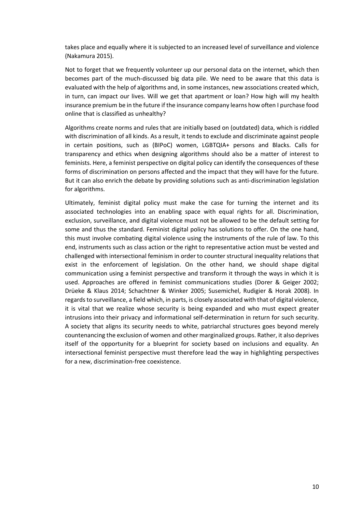takes place and equally where it is subjected to an increased level of surveillance and violence (Nakamura 2015).

Not to forget that we frequently volunteer up our personal data on the internet, which then becomes part of the much-discussed big data pile. We need to be aware that this data is evaluated with the help of algorithms and, in some instances, new associations created which, in turn, can impact our lives. Will we get that apartment or loan? How high will my health insurance premium be in the future if the insurance company learns how often I purchase food online that is classified as unhealthy?

Algorithms create norms and rules that are initially based on (outdated) data, which is riddled with discrimination of all kinds. As a result, it tends to exclude and discriminate against people in certain positions, such as (BIPoC) women, LGBTQIA+ persons and Blacks. Calls for transparency and ethics when designing algorithms should also be a matter of interest to feminists. Here, a feminist perspective on digital policy can identify the consequences of these forms of discrimination on persons affected and the impact that they will have for the future. But it can also enrich the debate by providing solutions such as anti-discrimination legislation for algorithms.

Ultimately, feminist digital policy must make the case for turning the internet and its associated technologies into an enabling space with equal rights for all. Discrimination, exclusion, surveillance, and digital violence must not be allowed to be the default setting for some and thus the standard. Feminist digital policy has solutions to offer. On the one hand, this must involve combating digital violence using the instruments of the rule of law. To this end, instruments such as class action or the right to representative action must be vested and challenged with intersectional feminism in order to counter structural inequality relations that exist in the enforcement of legislation. On the other hand, we should shape digital communication using a feminist perspective and transform it through the ways in which it is used. Approaches are offered in feminist communications studies (Dorer & Geiger 2002; Drüeke & Klaus 2014; Schachtner & Winker 2005; Susemichel, Rudigier & Horak 2008). In regardsto surveillance, a field which, in parts, is closely associated with that of digital violence, it is vital that we realize whose security is being expanded and who must expect greater intrusions into their privacy and informational self-determination in return for such security. A society that aligns its security needs to white, patriarchal structures goes beyond merely countenancing the exclusion of women and other marginalized groups. Rather, it also deprives itself of the opportunity for a blueprint for society based on inclusions and equality. An intersectional feminist perspective must therefore lead the way in highlighting perspectives for a new, discrimination-free coexistence.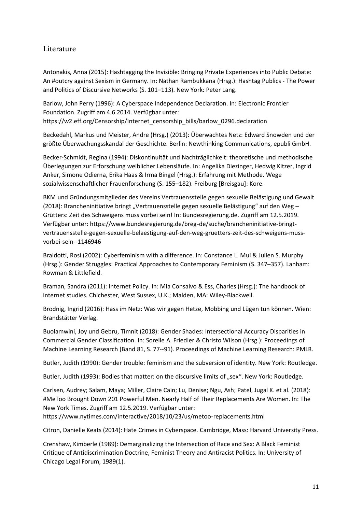## Literature

Antonakis, Anna (2015): Hashtagging the Invisible: Bringing Private Experiences into Public Debate: An #outcry against Sexism in Germany. In: Nathan Rambukkana (Hrsg.): Hashtag Publics - The Power and Politics of Discursive Networks (S. 101–113). New York: Peter Lang.

Barlow, John Perry (1996): A Cyberspace Independence Declaration. In: Electronic Frontier Foundation. Zugriff am 4.6.2014. Verfügbar unter: https://w2.eff.org/Censorship/Internet\_censorship\_bills/barlow\_0296.declaration

Beckedahl, Markus und Meister, Andre (Hrsg.) (2013): Überwachtes Netz: Edward Snowden und der größte Überwachungsskandal der Geschichte. Berlin: Newthinking Communications, epubli GmbH.

Becker-Schmidt, Regina (1994): Diskontinuität und Nachträglichkeit: theoretische und methodische Überlegungen zur Erforschung weiblicher Lebensläufe. In: Angelika Diezinger, Hedwig Kitzer, Ingrid Anker, Simone Odierna, Erika Haas & Irma Bingel (Hrsg.): Erfahrung mit Methode. Wege sozialwissenschaftlicher Frauenforschung (S. 155–182). Freiburg [Breisgau]: Kore.

BKM und Gründungsmitglieder des Vereins Vertrauensstelle gegen sexuelle Belästigung und Gewalt (2018): Brancheninitiative bringt "Vertrauensstelle gegen sexuelle Belästigung" auf den Weg – Grütters: Zeit des Schweigens muss vorbei sein! In: Bundesregierung.de. Zugriff am 12.5.2019. Verfügbar unter: https://www.bundesregierung.de/breg-de/suche/brancheninitiative-bringtvertrauensstelle-gegen-sexuelle-belaestigung-auf-den-weg-gruetters-zeit-des-schweigens-mussvorbei-sein--1146946

Braidotti, Rosi (2002): Cyberfeminism with a difference. In: Constance L. Mui & Julien S. Murphy (Hrsg.): Gender Struggles: Practical Approaches to Contemporary Feminism (S. 347–357). Lanham: Rowman & Littlefield.

Braman, Sandra (2011): Internet Policy. In: Mia Consalvo & Ess, Charles (Hrsg.): The handbook of internet studies. Chichester, West Sussex, U.K.; Malden, MA: Wiley-Blackwell.

Brodnig, Ingrid (2016): Hass im Netz: Was wir gegen Hetze, Mobbing und Lügen tun können. Wien: Brandstätter Verlag.

Buolamwini, Joy und Gebru, Timnit (2018): Gender Shades: Intersectional Accuracy Disparities in Commercial Gender Classification. In: Sorelle A. Friedler & Christo Wilson (Hrsg.): Proceedings of Machine Learning Research (Band 81, S. 77--91). Proceedings of Machine Learning Research: PMLR.

Butler, Judith (1990): Gender trouble: feminism and the subversion of identity. New York: Routledge.

Butler, Judith (1993): Bodies that matter: on the discursive limits of "sex". New York: Routledge.

Carlsen, Audrey; Salam, Maya; Miller, Claire Cain; Lu, Denise; Ngu, Ash; Patel, Jugal K. et al. (2018): #MeToo Brought Down 201 Powerful Men. Nearly Half of Their Replacements Are Women. In: The New York Times. Zugriff am 12.5.2019. Verfügbar unter:

https://www.nytimes.com/interactive/2018/10/23/us/metoo-replacements.html

Citron, Danielle Keats (2014): Hate Crimes in Cyberspace. Cambridge, Mass: Harvard University Press.

Crenshaw, Kimberle (1989): Demarginalizing the Intersection of Race and Sex: A Black Feminist Critique of Antidiscrimination Doctrine, Feminist Theory and Antiracist Politics. In: University of Chicago Legal Forum, 1989(1).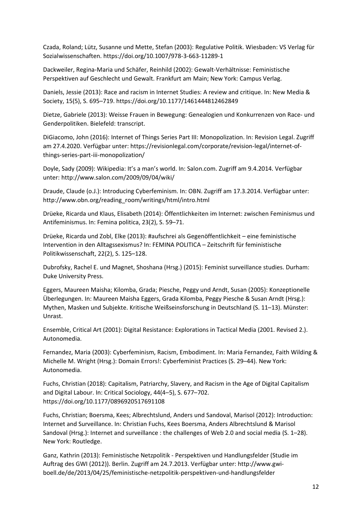Czada, Roland; Lütz, Susanne und Mette, Stefan (2003): Regulative Politik. Wiesbaden: VS Verlag für Sozialwissenschaften. https://doi.org/10.1007/978-3-663-11289-1

Dackweiler, Regina-Maria und Schäfer, Reinhild (2002): Gewalt-Verhältnisse: Feministische Perspektiven auf Geschlecht und Gewalt. Frankfurt am Main; New York: Campus Verlag.

Daniels, Jessie (2013): Race and racism in Internet Studies: A review and critique. In: New Media & Society, 15(5), S. 695–719. https://doi.org/10.1177/1461444812462849

Dietze, Gabriele (2013): Weisse Frauen in Bewegung: Genealogien und Konkurrenzen von Race- und Genderpolitiken. Bielefeld: transcript.

DiGiacomo, John (2016): Internet of Things Series Part III: Monopolization. In: Revision Legal. Zugriff am 27.4.2020. Verfügbar unter: https://revisionlegal.com/corporate/revision-legal/internet-ofthings-series-part-iii-monopolization/

Doyle, Sady (2009): Wikipedia: It's a man's world. In: Salon.com. Zugriff am 9.4.2014. Verfügbar unter: http://www.salon.com/2009/09/04/wiki/

Draude, Claude (o.J.): Introducing Cyberfeminism. In: OBN. Zugriff am 17.3.2014. Verfügbar unter: http://www.obn.org/reading\_room/writings/html/intro.html

Drüeke, Ricarda und Klaus, Elisabeth (2014): Öffentlichkeiten im Internet: zwischen Feminismus und Antifeminismus. In: Femina politica, 23(2), S. 59–71.

Drüeke, Ricarda und Zobl, Elke (2013): #aufschrei als Gegenöffentlichkeit – eine feministische Intervention in den Alltagssexismus? In: FEMINA POLITICA – Zeitschrift für feministische Politikwissenschaft, 22(2), S. 125–128.

Dubrofsky, Rachel E. und Magnet, Shoshana (Hrsg.) (2015): Feminist surveillance studies. Durham: Duke University Press.

Eggers, Maureen Maisha; Kilomba, Grada; Piesche, Peggy und Arndt, Susan (2005): Konzeptionelle Überlegungen. In: Maureen Maisha Eggers, Grada Kilomba, Peggy Piesche & Susan Arndt (Hrsg.): Mythen, Masken und Subjekte. Kritische Weißseinsforschung in Deutschland (S. 11–13). Münster: Unrast.

Ensemble, Critical Art (2001): Digital Resistance: Explorations in Tactical Media (2001. Revised 2.). Autonomedia.

Fernandez, Maria (2003): Cyberfeminism, Racism, Embodiment. In: Maria Fernandez, Faith Wilding & Michelle M. Wright (Hrsg.): Domain Errors!: Cyberfeminist Practices (S. 29–44). New York: Autonomedia.

Fuchs, Christian (2018): Capitalism, Patriarchy, Slavery, and Racism in the Age of Digital Capitalism and Digital Labour. In: Critical Sociology, 44(4–5), S. 677–702. https://doi.org/10.1177/0896920517691108

Fuchs, Christian; Boersma, Kees; Albrechtslund, Anders und Sandoval, Marisol (2012): Introduction: Internet and Surveillance. In: Christian Fuchs, Kees Boersma, Anders Albrechtslund & Marisol Sandoval (Hrsg.): Internet and surveillance : the challenges of Web 2.0 and social media (S. 1–28). New York: Routledge.

Ganz, Kathrin (2013): Feministische Netzpolitik - Perspektiven und Handlungsfelder (Studie im Auftrag des GWI (2012)). Berlin. Zugriff am 24.7.2013. Verfügbar unter: http://www.gwiboell.de/de/2013/04/25/feministische-netzpolitik-perspektiven-und-handlungsfelder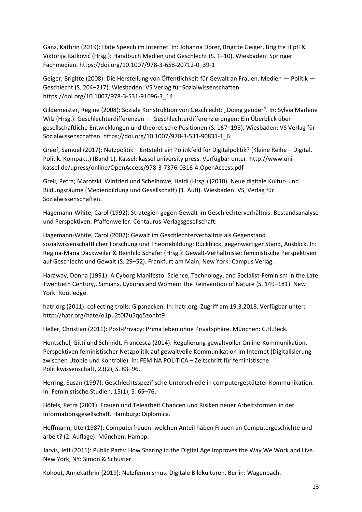Ganz, Kathrin (2019): Hate Speech im Internet. In: Johanna Dorer, Brigitte Geiger, Brigitte Hipfl & Viktorija Ratković (Hrsg.): Handbuch Medien und Geschlecht (S. 1–10). Wiesbaden: Springer Fachmedien. https://doi.org/10.1007/978-3-658-20712-0\_39-1

Geiger, Brigitte (2008): Die Herstellung von Öffentlichkeit für Gewalt an Frauen. Medien — Politik — Geschlecht (S. 204–217). Wiesbaden: VS Verlag für Sozialwissenschaften. https://doi.org/10.1007/978-3-531-91096-3\_14

Gildemeister, Regine (2008): Soziale Konstruktion von Geschlecht: "Doing gender". In: Sylvia Marlene Wilz (Hrsg.): Geschlechterdifferenzen — Geschlechterdifferenzierungen: Ein Überblick über gesellschaftliche Entwicklungen und theoretische Positionen (S. 167–198). Wiesbaden: VS Verlag für Sozialwissenschaften. https://doi.org/10.1007/978-3-531-90831-1\_6

Greef, Samuel (2017): Netzpolitik – Entsteht ein Politikfeld für Digitalpolitik? (Kleine Reihe – Digital. Politik. Kompakt.) (Band 1). Kassel: kassel university press. Verfügbar unter: http://www.unikassel.de/upress/online/OpenAccess/978-3-7376-0316-4.OpenAccess.pdf

Grell, Petra; Marotzki, Winfried und Schelhowe, Heidi (Hrsg.) (2010): Neue digitale Kultur- und Bildungsräume (Medienbildung und Gesellschaft) (1. Aufl). Wiesbaden: VS, Verlag für Sozialwissenschaften.

Hagemann-White, Carol (1992): Strategien gegen Gewalt im Geschlechterverhältnis: Bestandsanalyse und Perspektiven. Pfaffenweiler: Centaurus-Verlagsgesellschaft.

Hagemann-White, Carol (2002): Gewalt im Geschlechterverhältnis als Gegenstand sozialwissenschaftlicher Forschung und Theoriebildung: Rückblick, gegenwärtiger Stand, Ausblick. In: Regina-Maria Dackweiler & Reinhild Schäfer (Hrsg.): Gewalt-Verhältnisse: feministische Perspektiven auf Geschlecht und Gewalt (S. 29–52). Frankfurt am Main; New York: Campus Verlag.

Haraway, Donna (1991): A Cyborg Manifesto: Science, Technology, and Socialist-Feminism in the Late Twentieth Century,. Simians, Cyborgs and Women: The Reinvention of Nature (S. 149–181). New York: Routledge.

hatr.org (2011): collecting trolls: Gipsnacken. In: hatr.org. Zugriff am 19.3.2018. Verfügbar unter: http://hatr.org/hate/o1pu2t0i7u5qq5zonht9

Heller, Christian (2011): Post-Privacy: Prima leben ohne Privatsphäre. München: C.H.Beck.

Hentschel, Gitti und Schmidt, Francesca (2014): Regulierung gewaltvoller Online-Kommunikation. Perspektiven feministischer Netzpolitik auf gewaltvolle Kommunikation im Internet (Digitalisierung zwischen Utopie und Kontrolle). In: FEMINA POLITICA – Zeitschrift für feministische Politikwissenschaft, 23(2), S. 83–96.

Herring, Susan (1997): Geschlechtsspezifische Unterschiede in computergestützter Kommunikation. In: Feministische Studien, 15(1), S. 65–76.

Höfels, Petra (2001): Frauen und Telearbeit Chancen und Risiken neuer Arbeitsformen in der Informationsgesellschaft. Hamburg: Diplomica.

Hoffmann, Ute (1987): Computerfrauen: welchen Anteil haben Frauen an Computergeschichte und arbeit? (2. Auflage). München: Hampp.

Jarvis, Jeff (2011): Public Parts: How Sharing in the Digital Age Improves the Way We Work and Live. New York, NY: Simon & Schuster.

Kohout, Annekathrin (2019): Netzfeminismus: Digitale Bildkulturen. Berlin: Wagenbach.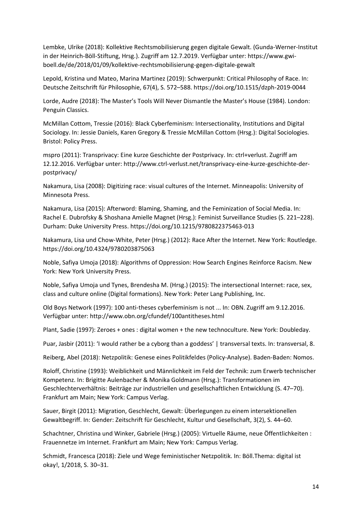Lembke, Ulrike (2018): Kollektive Rechtsmobilisierung gegen digitale Gewalt. (Gunda-Werner-Institut in der Heinrich-Böll-Stiftung, Hrsg.). Zugriff am 12.7.2019. Verfügbar unter: https://www.gwiboell.de/de/2018/01/09/kollektive-rechtsmobilisierung-gegen-digitale-gewalt

Lepold, Kristina und Mateo, Marina Martinez (2019): Schwerpunkt: Critical Philosophy of Race. In: Deutsche Zeitschrift für Philosophie, 67(4), S. 572–588. https://doi.org/10.1515/dzph-2019-0044

Lorde, Audre (2018): The Master's Tools Will Never Dismantle the Master's House (1984). London: Penguin Classics.

McMillan Cottom, Tressie (2016): Black Cyberfeminism: Intersectionality, Institutions and Digital Sociology. In: Jessie Daniels, Karen Gregory & Tressie McMillan Cottom (Hrsg.): Digital Sociologies. Bristol: Policy Press.

mspro (2011): Transprivacy: Eine kurze Geschichte der Postprivacy. In: ctrl+verlust. Zugriff am 12.12.2016. Verfügbar unter: http://www.ctrl-verlust.net/transprivacy-eine-kurze-geschichte-derpostprivacy/

Nakamura, Lisa (2008): Digitizing race: visual cultures of the Internet. Minneapolis: University of Minnesota Press.

Nakamura, Lisa (2015): Afterword: Blaming, Shaming, and the Feminization of Social Media. In: Rachel E. Dubrofsky & Shoshana Amielle Magnet (Hrsg.): Feminist Surveillance Studies (S. 221–228). Durham: Duke University Press. https://doi.org/10.1215/9780822375463-013

Nakamura, Lisa und Chow-White, Peter (Hrsg.) (2012): Race After the Internet. New York: Routledge. https://doi.org/10.4324/9780203875063

Noble, Safiya Umoja (2018): Algorithms of Oppression: How Search Engines Reinforce Racism. New York: New York University Press.

Noble, Safiya Umoja und Tynes, Brendesha M. (Hrsg.) (2015): The intersectional Internet: race, sex, class and culture online (Digital formations). New York: Peter Lang Publishing, Inc.

Old Boys Network (1997): 100 anti-theses cyberfeminism is not ... In: OBN. Zugriff am 9.12.2016. Verfügbar unter: http://www.obn.org/cfundef/100antitheses.html

Plant, Sadie (1997): Zeroes + ones : digital women + the new technoculture. New York: Doubleday.

Puar, Jasbir (2011): 'I would rather be a cyborg than a goddess' | transversal texts. In: transversal, 8.

Reiberg, Abel (2018): Netzpolitik: Genese eines Politikfeldes (Policy-Analyse). Baden-Baden: Nomos.

Roloff, Christine (1993): Weiblichkeit und Männlichkeit im Feld der Technik: zum Erwerb technischer Kompetenz. In: Brigitte Aulenbacher & Monika Goldmann (Hrsg.): Transformationen im Geschlechterverhältnis: Beiträge zur industriellen und gesellschaftlichen Entwicklung (S. 47–70). Frankfurt am Main; New York: Campus Verlag.

Sauer, Birgit (2011): Migration, Geschlecht, Gewalt: Überlegungen zu einem intersektionellen Gewaltbegriff. In: Gender: Zeitschrift für Geschlecht, Kultur und Gesellschaft, 3(2), S. 44–60.

Schachtner, Christina und Winker, Gabriele (Hrsg.) (2005): Virtuelle Räume, neue Öffentlichkeiten : Frauennetze im Internet. Frankfurt am Main; New York: Campus Verlag.

Schmidt, Francesca (2018): Ziele und Wege feministischer Netzpolitik. In: Böll.Thema: digital ist okay!, 1/2018, S. 30–31.